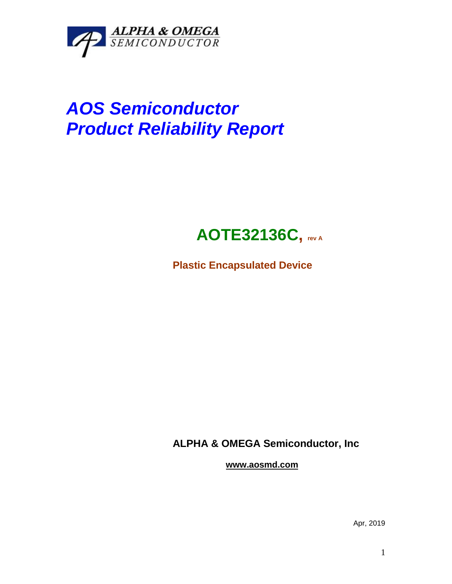

# *AOS Semiconductor Product Reliability Report*

## **AOTE32136C, rev <sup>A</sup>**

**Plastic Encapsulated Device**

**ALPHA & OMEGA Semiconductor, Inc**

**www.aosmd.com**

Apr, 2019